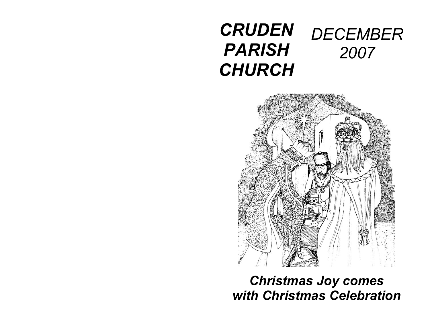## *CRUDEN PARISH CHURCH DECEMBER 2007*



# *Christmas Joy comes with Christmas Celebration*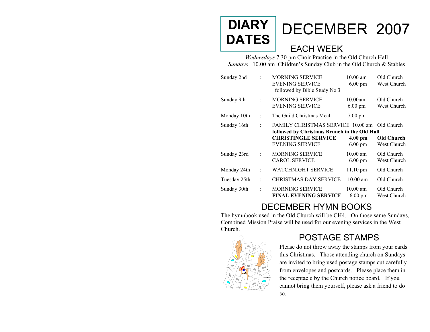#### DECEMBER 2007 EACH WEEK **DIARY DATES**

*Wednesdays* 7.30 pm Choir Practice in the Old Church Hall *Sundays* 10.00 am Children's Sunday Club in the Old Church & Stables

| Sunday 2nd   | $\bullet$            | <b>MORNING SERVICE</b><br><b>EVENING SERVICE</b><br>followed by Bible Study No 3                                                                 | $10.00$ am<br>$6.00 \text{ pm}$        | Old Church<br>West Church               |
|--------------|----------------------|--------------------------------------------------------------------------------------------------------------------------------------------------|----------------------------------------|-----------------------------------------|
| Sunday 9th   | $\ddot{\cdot}$       | <b>MORNING SERVICE</b><br><b>EVENING SERVICE</b>                                                                                                 | 10.00am<br>$6.00 \text{ pm}$           | Old Church<br>West Church               |
| Monday 10th  | $\ddot{\cdot}$       | The Guild Christmas Meal                                                                                                                         | $7.00 \text{ pm}$                      |                                         |
| Sunday 16th  | $\ddot{\phantom{a}}$ | <b>FAMILY CHRISTMAS SERVICE 10.00 am</b><br>followed by Christmas Brunch in the Old Hall<br><b>CHRISTINGLE SERVICE</b><br><b>EVENING SERVICE</b> | $4.00 \text{ pm}$<br>$6.00 \text{ pm}$ | Old Church<br>Old Church<br>West Church |
| Sunday 23rd  | $\ddot{\cdot}$       | <b>MORNING SERVICE</b><br><b>CAROL SERVICE</b>                                                                                                   | $10.00$ am<br>$6.00 \text{ pm}$        | Old Church<br>West Church               |
| Monday 24th  | t                    | <b>WATCHNIGHT SERVICE</b>                                                                                                                        | $11.10$ pm                             | Old Church                              |
| Tuesday 25th | t                    | <b>CHRISTMAS DAY SERVICE</b>                                                                                                                     | $10.00 \text{ am}$                     | Old Church                              |
| Sunday 30th  | $\ddot{\cdot}$       | <b>MORNING SERVICE</b><br><b>FINAL EVENING SERVICE</b>                                                                                           | $10.00$ am<br>$6.00 \text{ pm}$        | Old Church<br>West Church               |

### DECEMBER HYMN BOOKS

The hy mnbook used in the Old Church will be CH4. On those same Sundays, Combined Mission Praise will be used for our evening services in the West Church.



### POSTAGE STAMPS

Please do not throw away the stamps from your cards this Christmas. Those attending church on Sundays are invited to bring used postage stamps cut carefully from envelopes and postcards. Please place them in the receptacle by the Church notice board. If you cannot bring them yourself, please ask a friend to do so.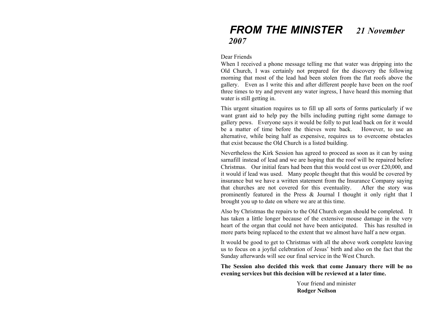### *FROM THE MINISTER 21 November 2007*

#### Dear Friends

When I received a phone message telling me that water was dripping into the Old Church, I was certainly not prepared for the discovery the following morning that most of the lead had been stolen from the flat roofs above the gallery. Even as I write this and after different people have been on the roof three times to try and prevent any water ingress, I have heard this morning that water is still getting in.

This urgent situation requires us to fill up all sorts of forms particularly if we want grant aid to help pay the bills including putting right some damage to gallery pews. Everyone says it would be folly to put lead back on for it would be a matter of time before the thieves were back. However, to use an alternative, while being half as expensive, requires us to overcome obstacles that exist because the Old Church is a listed building.

Nevertheless the Kirk Session has agreed to proceed as soon as it can by using sarnafill instead of lead and we are hoping that the roof will be repaired before Christmas. Our initial fears had been that this would cost us over £20,000, and it would if lead was used. Many people thought that this would be covered by insurance but we have a written statement from the Insurance Company saying that churches are not covered for this eventuality. After the story was prominently featured in the Press & Journal I thought it only right that I brought you up to date on where we are at this time.

Also by Christmas the repairs to the Old Church organ should be completed. It has taken a little longer because of the extensive mouse damage in the very heart of the organ that could not have been anticipated. This has resulted in more parts being replaced to the extent that we almost have half a new organ.

It would be good to get to Christmas with all the above work complete leaving us to focus on a joyful celebration of Jesus' birth and also on the fact that the Sunday afterwards will see our final service in the West Church.

**The Session also decided this week that come January there will be no evening services but this decision will be reviewed at a later time.** 

> Your friend and minister **Rodger Neilson**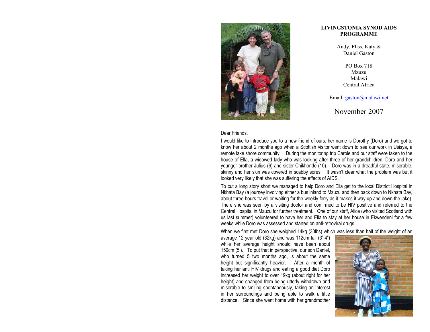

#### Dear Friends,

I would like to introduce you to a new friend of ours, her name is Dorothy (Doro) and we got to know her about 2 months ago when a Scottish visitor went down to see our work in Usisya, a remote lake shore community. During the monitoring trip Carole and our staff were taken to the house of Ella, a widowed lady who was looking after three of her grandchildren, Doro and her younger brother Julius (6) and sister Chikhonde (10). Doro was in a dreadful state, miserable, skinny and her skin was covered in scabby sores. It wasn't clear what the problem was but it looked very likely that she was suffering the effects of AIDS.

To cut a long story short we managed to help Doro and Ella get to the local District Hospital in Nkhata Bay (a journey involving either a bus inland to Mzuzu and then back down to Nkhata Bay, about three hours travel or waiting for the weekly ferry as it makes it way up and down the lake). There she was seen by a visiting doctor and confirmed to be HIV positive and referred to the Central Hospital in Mzuzu for further treatment. One of our staff, Alice (who visited Scotland with us last summer) volunteered to have her and Ella to stay at her house in Ekwendeni for a few weeks while Doro was assessed and started on anti-retroviral drugs.

When we first met Doro she weighed 14kg (30lbs) which was less than half of the weight of an

average 12 year old (32kg) and was 112cm tall (3' 4") while her average height should have been about 150cm (5'). To put that in perspective, our son Daniel, who turned 5 two months ago, is about the same height but significantly heavier. After a month of taking her anti HIV drugs and eating a good diet Doro increased her weight to over 19kg (about right for her height) and changed from being utterly withdrawn and miserable to smiling spontaneously, taking an interest in her surroundings and being able to walk a little distance. Since she went home with her grandmother



#### **LIVINGSTONIA SYNOD AIDS PROGRAMME**

Andy, Fliss, Katy & Daniel Gaston

> PO Box 718 Mzuzu MalawiCentral Africa

Email: [gaston@malawi.net](mailto:gaston@malawi.net)

November 2007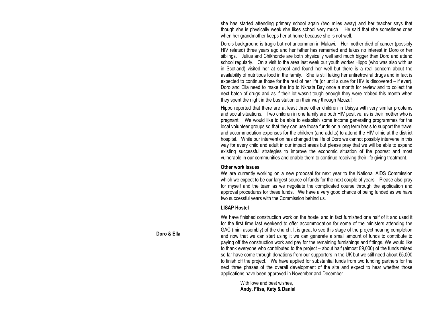she has started attending primary school again (two miles away) and her teacher says that though she is physically weak she likes school very much. He said that she sometimes cries when her grandmother keeps her at home because she is not well.

Doro's background is tragic but not uncommon in Malawi. Her mother died of cancer (possibly HIV related) three years ago and her father has remarried and takes no interest in Doro or her siblings. Julius and Chikhonde are both physically well and much bigger than Doro and attend school regularly. On a visit to the area last week our youth worker Hippo (who was also with us in Scotland) visited her at school and found her well but there is a real concern about the availability of nutritious food in the family. She is still taking her antiretroviral drugs and in fact is expected to continue those for the rest of her life (or until a cure for HIV is discovered – if ever). Doro and Ella need to make the trip to Nkhata Bay once a month for review and to collect the next batch of drugs and as if their lot wasn't tough enough they were robbed this month when they spent the night in the bus station on their way through Mzuzu!

Hippo reported that there are at least three other children in Usisya with very similar problems and social situations. Two children in one family are both HIV positive, as is their mother who is pregnant. We would like to be able to establish some income generating programmes for the local volunteer groups so that they can use those funds on a long term basis to support the travel and accommodation expenses for the children (and adults) to attend the HIV clinic at the district hospital. While our intervention has changed the life of Doro we cannot possibly intervene in this way for every child and adult in our impact areas but please pray that we will be able to expand existing successful strategies to improve the economic situation of the poorest and most vulnerable in our communities and enable them to continue receiving their life giving treatment.

#### **Other work issues**

We are currently working on a new proposal for next year to the National AIDS Commission which we expect to be our largest source of funds for the next couple of years. Please also pray for myself and the team as we negotiate the complicated course through the application and approval procedures for these funds. We have a very good chance of being funded as we have two successful years with the Commission behind us.

#### **LISAP Hostel**

We have finished construction work on the hostel and in fact furnished one half of it and used it for the first time last weekend to offer accommodation for some of the ministers attending the GAC (mini assembly) of the church. It is great to see this stage of the project nearing completion and now that we can start using it we can generate a small amount of funds to contribute to paying off the construction work and pay for the remaining furnishings and fittings. We would like to thank everyone who contributed to the project – about half (almost £9,000) of the funds raised so far have come through donations from our supporters in the UK but we still need about £5,000 to finish off the project. We have applied for substantial funds from two funding partners for the next three phases of the overall development of the site and expect to hear whether those applications have been approved in November and December.

With love and best wishes, **Andy, Fliss, Katy & Daniel**

#### **Doro & Ella**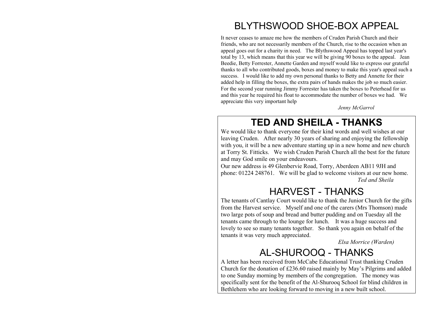# BLYTHSWOOD SHOE-BOX APPEAL

It never ceases to amaze me how the members of Cruden Parish Church and their friends, who are not necessarily members of the Church, rise to the occasion when an appeal goes out for a charity i n need. The Blythswood Appeal has topped last year's total by 13, which means that this year we will be giving 90 boxes to the appeal. Jean Beedie, Betty Forrester, Annette Garden and myself would like to express our grateful thanks to all who contributed goods, boxes and money to make t his year's appeal such a success. I would like to add my own personal thanks to Betty and Annette for their added help in filling the boxes, the extra pairs of hands makes the job so much easier. For t he second year running Ji mmy Forrester has taken t he boxes to Peterhead for us and this year he required his float to acco mmodate the number of boxes we had. We appreciate t his very i mportant hel p

 *Jenny McGarrol* 

## **TED AND SHEILA - THANKS**

We would like to thank everyone for their kind words and well wishes at our leaving Cruden. After nearly 30 years of sharing and enjoying the fellowship with you, it will be a new adventure starting up in a new home and new church at Torry St. Fitticks. We wish Cruden Parish Church all the best for the future and may God smile on your endeavours.

Our new address is 49 Glenbervie Road, Torry, Aberdeen AB11 9JH and phone: 01224 248761. We will be glad to welcome visitors at our new home. *Ted and Sheila* 

# HARVEST - THANKS

The tenants of Cantlay Court would like to thank the Junior Church for the gifts from the Harvest service. Myself and one of the carers (Mrs Thomson) made two large pots of soup and bread and butter pudding and on Tuesday all the tenants came through to the lounge for lunch. It was a huge success and lovely to see so many tenants together. So thank you again on behalf of the tenants it was very much appreciated.

 *Elsa Morrice (Warden)* 

# AL-SHUROOQ - THANKS

A letter has been received from McCabe Educational Trust thanking Cruden Church for the donation of £236.60 raised mainly by May's Pilgrims and added to one Sunday m orning by members of the congregation. The money was specifically sent for the benefit of the Al-Shurooq School for blind children in Bethlehem who are looking forward to moving in a new built school.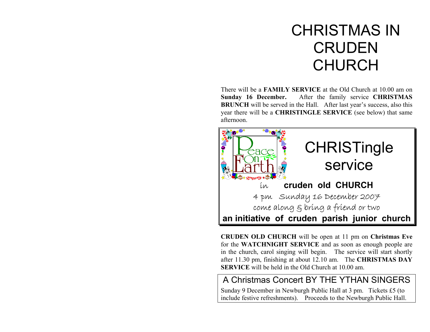# CHRISTMAS IN **CRUDEN** CHURCH

There will be a **FAMILY SERVICE** at the Old Church at 10.00 am on **Sunday 16 December.** After the family service **CHRISTMAS BRUNCH** will be served in the Hall. After last year's success, also this year there will be a **CHRISTINGLE SERVICE** (see below) that sam e afternoon.



**CRUDEN OLD CHURCH** will be open at 11 pm on **Christmas Eve** for t he **WATCHNIGHT SERVICE** and as soon as enough people are in the church, carol singing will begin. The service will start shortly after 11.30 pm, finishing at about 12.10 am. The **CHRISTMAS DAY SERVICE** will be held in the Old Church at 10.00 am.

#### A Christmas Concert BY THE YTHAN SINGERS

Sunday 9 December in Newburgh Public Hall at 3 pm. Tickets £5 (to include festive refreshments). Proceeds to the Newburgh Public Hall.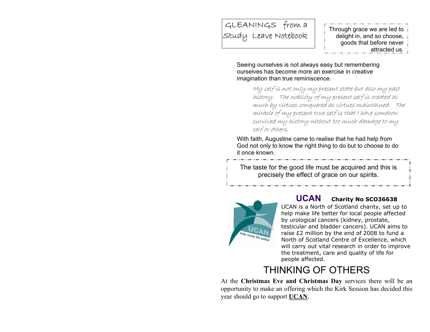# GLEANINGS from a Study Leave Notebook Through grace we are led to delight in, and so choose,

attracted us.

Seeing ourselves is not always easy but remembering ourselves has become more an exercise in creative imagination than true reminiscence.

> My self is not only my present state but also my past history. The nobility of my present self is created as much by virtues conquered as virtues maintained. The miracle of my present true self is that I have somehow survived my history without too much damage to my self or others.

With faith, Augustine came to realise that he had help from God not only to know the right thing to do but to choose to do it once known.

The taste for the good life must be acquired and this is precisely the effect of grace on our spirits.



#### **UCAN Charity No SCO36638**

UCAN is a North of Scotland charity, set u p t oh elp mak e life better f or local people affected by urological cancers (kidney, prostate, testicular and bladder cancers). UCAN aims to raise £2 million by the end of 2008 to fund a North of Scotl and Centre of Excellence, which will carry out vital research in order t o improve the treatment, care and quality of life for peopl e affected.

# THINKING OF OTHERS

At the **Christmas Eve and Christmas Day** services there will be an opportunity to m ake an offering which the Kirk Session has decided this year should go to support **UCAN**.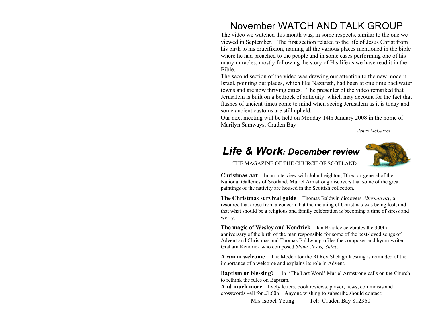### November WATCH AND TALK GROUP

The video we watched this month was, in some respects, similar to the one we viewed in September. The first section related to the life of Jesus Christ from his birth to his crucifixion, naming all the various places mentioned in the bible where he had preached to the people and in some cases performing one of his many miracles, m ostly following the story of His life as we have read it in the Bible.

The second section of the video was drawing our attention to the new modern Israel, pointing out places, which like Nazareth, had been at one time backwater towns and are now thriving cities. The presenter of the video remarked that Jerusalem is built on a bedrock of antiquity, which may account for the fact that flashes of ancient times come to mind when seeing Jerusalem as it is today and some ancient customs are still upheld.

Our next meeting will be held on Monday 14th January 2008 in the home of Marilyn Sam ways, Cruden Bay

*Jenny McGarrol* 

### *Life & Work: December review*



THE MAGAZINE OF THE CHURCH OF SCOTLAND

**Christmas Art** In an interview with John Leighton, Director-general of the National Galleries of Scotland, M uriel Armstrong discovers t hat some of t he great paintings of the nativity are housed in the Scottish collection.

**The Christmas survival guide** Thomas Baldwin discovers *Alternativity,*<sup>a</sup> resource that arose from a concern that the meaning of C hrist mas was being lost, and that what should be a religious and family celebration is becoming a time of stress and worry.

**The magic of Wesley and Kendrick** Ian Bradley celebrates t he 300th anniversary of t he birth of t he man responsi ble for some of t he best-loved songs of Advent and C hrist mas and Thomas Baldwin profiles t he composer and hy mn-writer Graham Kendrick who composed *Shine, Jesus, Shine*.

**A warm welcome** The Moderator t he Rt Rev Shelagh Kesting is reminded of t he importance of a welcome and explains its role i n Advent.

**Baptism or blessing?** In 'The Last Word' Muriel Armstrong calls on the Church to rethin k the rules o n Baptism.

**And much more** – lively letters, book reviews, prayer, news, columnists and crosswords –all for £1.60p. Anyone wishing to subscri be should contact:

Mrs Isobel Young Tel: Cruden Bay 812360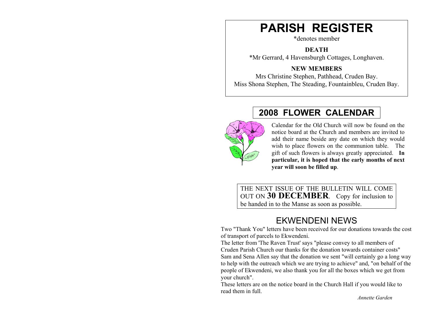# **PARISH REGISTER**

\*denotes member

**DEATH** 

\*Mr Gerrard, 4 Havensburgh Cottages, Longhaven.

**NEW MEMBERS** 

Mrs Christine Stephen, Pathhead, Cruden Bay. Miss Shona Stephen, The Steading, Fountainbleu, Cruden Bay.

# **2008 FLOWER CALENDAR**



Calendar for the Old Church will now be found on the notice board at the Church and members are invited to add their name beside any date on which they would wish to place flowers on the com munion table. The gift of such flowers is always greatly appreciated. **In particular, it is hoped that the early months of next year will soon be filled up**.

THE NEXT ISSUE OF THE BULLETIN WILL COME OUT ON **30 DECEMBER**. Copy for inclusion to be handed in to the Manse as soon as possible.

### EKWENDENI NEWS

Two "Thank You" letters have been received for our donations towards the cost of transport of parcels to Ekwendeni.

The letter from 'The Raven Trust' says "please convey to all members of Cruden Parish Church our thanks for the donation towards container costs" Sam and Sena Allen say that the donation we sent "will certainly go a long way to help with the outreach which we are trying to achieve" and, "on behalf of the people of Ekwendeni, we also thank you for all the boxes which we get from your church".

These letters are on the notice board in the Church Hall if you would like to read them in full.

*Annette Garden*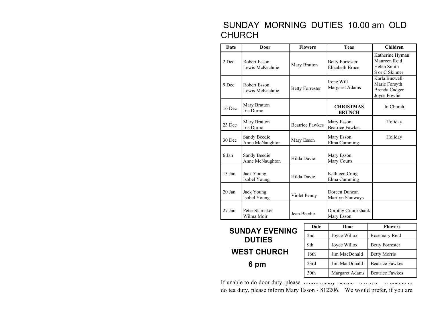#### SUNDAY MORNING DUTIES 10.00 am OLD CHURCH

| <b>Date</b>                            | Door                                           |                        | <b>Flowers</b>         | <b>Teas</b>                                      | <b>Children</b>                                                        |
|----------------------------------------|------------------------------------------------|------------------------|------------------------|--------------------------------------------------|------------------------------------------------------------------------|
| 2 Dec                                  | Robert Esson<br>Lewis McKechnie                |                        | Mary Bratton           | <b>Betty Forrester</b><br><b>Elizabeth Bruce</b> | Katherine Hyman<br>Maureen Reid<br>Helen Smith<br>S or C Skinner       |
| 9 Dec                                  | Robert Esson<br>Lewis McKechnie                |                        | <b>Betty Forrester</b> | Irene Will<br>Margaret Adams                     | Karla Buswell<br>Marie Forsyth<br><b>Brenda Cadger</b><br>Joyce Fowlie |
| Mary Bratton<br>16 Dec<br>Iris Durno   |                                                |                        |                        | <b>CHRISTMAS</b><br><b>BRUNCH</b>                | In Church                                                              |
| 23 Dec                                 | Mary Bratton<br>Iris Durno                     | <b>Beatrice Fawkes</b> |                        | Mary Esson<br><b>Beatrice Fawkes</b>             | Holiday                                                                |
| 30 Dec                                 | Sandy Beedie<br>Mary Esson<br>Anne McNaughton  |                        |                        | Mary Esson<br>Elma Cumming                       | Holiday                                                                |
| 6 Jan                                  | Sandy Beedie<br>Hilda Davie<br>Anne McNaughton |                        |                        | Mary Esson<br>Mary Coutts                        |                                                                        |
| 13 Jan                                 | Jack Young<br>Hilda Davie<br>Isobel Young      |                        |                        | Kathleen Craig<br>Elma Cumming                   |                                                                        |
| $20$ Jan                               | Jack Young<br>Isobel Young                     | Violet Penny           |                        | Doreen Duncan<br>Marilyn Samways                 |                                                                        |
| 27 Jan                                 | Peter Slamaker<br>Wilma Moir                   | Jean Beedie            |                        | Dorothy Cruickshank<br>Mary Esson                |                                                                        |
| <b>SUNDAY EVENING</b><br><b>DUTIES</b> |                                                |                        | Date                   | Door                                             | <b>Flowers</b>                                                         |
|                                        |                                                |                        | 2nd                    | Joyce Willox                                     | Rosemary Reid                                                          |
|                                        |                                                |                        | 9th                    | Joyce Willox                                     | <b>Betty Forrester</b>                                                 |
| <b>WEST CHURCH</b>                     |                                                |                        | 16th                   | Jim MacDonald                                    | <b>Betty Morris</b>                                                    |
| 6 pm                                   |                                                |                        | 23rd                   | Jim MacDonald                                    | <b>Beatrice Fawkes</b>                                                 |
|                                        |                                                |                        | 30th                   | Margaret Adams                                   | <b>Beatrice Fawkes</b>                                                 |

If unable to do door duty, please *information sandy Beedie* - 841370. If unable to do tea duty, please inform Mary Esson - 812206. We would prefer, if you are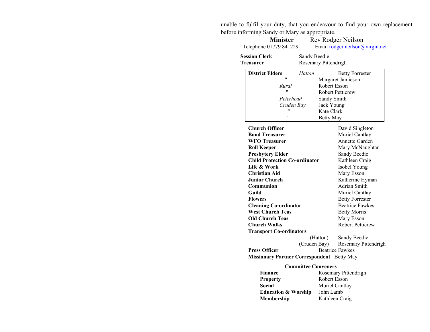unable to fulfil your duty, that you endeavour to find your own replacement before informing Sandy or Mary as appropriate.

| <b>Minister</b><br>Telephone 01779 841229         |                            |                                         | Rev Rodger Neilson<br>Email rodger.neilson@virgin.net |  |
|---------------------------------------------------|----------------------------|-----------------------------------------|-------------------------------------------------------|--|
| <b>Session Clerk</b><br>Treasurer                 |                            | Sandy Beedie<br>Rosemary Pittendrigh    |                                                       |  |
| <b>District Elders</b>                            | Hatton                     |                                         | <b>Betty Forrester</b>                                |  |
| $^{\prime\prime}$                                 |                            |                                         | Margaret Jamieson                                     |  |
| Rural                                             |                            | Robert Esson                            |                                                       |  |
| $\blacksquare$                                    |                            |                                         | <b>Robert Petticrew</b>                               |  |
|                                                   | Peterhead                  | Sandy Smith<br>Jack Young<br>Kate Clark |                                                       |  |
|                                                   | Cruden Bay                 |                                         |                                                       |  |
|                                                   |                            |                                         |                                                       |  |
| Ħ                                                 |                            | <b>Betty May</b>                        |                                                       |  |
| <b>Church Officer</b>                             |                            |                                         | David Singleton                                       |  |
| <b>Bond Treasurer</b>                             |                            |                                         | Muriel Cantlay                                        |  |
| <b>WFO</b> Treasurer                              |                            |                                         | Annette Garden                                        |  |
| <b>Roll Keeper</b>                                |                            |                                         | Mary McNaughtan                                       |  |
| <b>Presbytery Elder</b>                           |                            |                                         | Sandy Beedie                                          |  |
| <b>Child Protection Co-ordinator</b>              |                            | Kathleen Craig                          |                                                       |  |
| Life & Work                                       |                            |                                         | Isobel Young                                          |  |
| <b>Christian Aid</b>                              |                            |                                         | Mary Esson                                            |  |
| <b>Junior Church</b>                              |                            |                                         | Katherine Hyman                                       |  |
| Communion                                         |                            |                                         | Adrian Smith                                          |  |
| Guild                                             |                            |                                         | Muriel Cantlay                                        |  |
| Flowers                                           |                            |                                         | <b>Betty Forrester</b>                                |  |
| <b>Cleaning Co-ordinator</b>                      |                            |                                         | <b>Beatrice Fawkes</b>                                |  |
| <b>West Church Teas</b>                           |                            |                                         | <b>Betty Morris</b>                                   |  |
| <b>Old Church Teas</b>                            |                            |                                         | Mary Esson                                            |  |
| <b>Church Walks</b>                               |                            |                                         | <b>Robert Petticrew</b>                               |  |
| <b>Transport Co-ordinators</b>                    |                            |                                         |                                                       |  |
|                                                   |                            | (Hatton)                                | Sandy Beedie                                          |  |
|                                                   | (Cruden Bay)               |                                         | Rosemary Pittendrigh                                  |  |
| <b>Press Officer</b>                              |                            | <b>Beatrice Fawkes</b>                  |                                                       |  |
| <b>Missionary Partner Correspondent</b> Betty May |                            |                                         |                                                       |  |
|                                                   | <b>Committee Conveners</b> |                                         |                                                       |  |
| Finance                                           | Rosemary Pittendrigh       |                                         |                                                       |  |
| <b>Property</b>                                   |                            | Robert Esson                            |                                                       |  |
|                                                   | $\cdot$ $\cdot$            |                                         |                                                       |  |

**Social** Muriel Cantlay<br>**Education & Worship** John Lamb **Education & Worship**<br>Membership **Kathleen Craig**